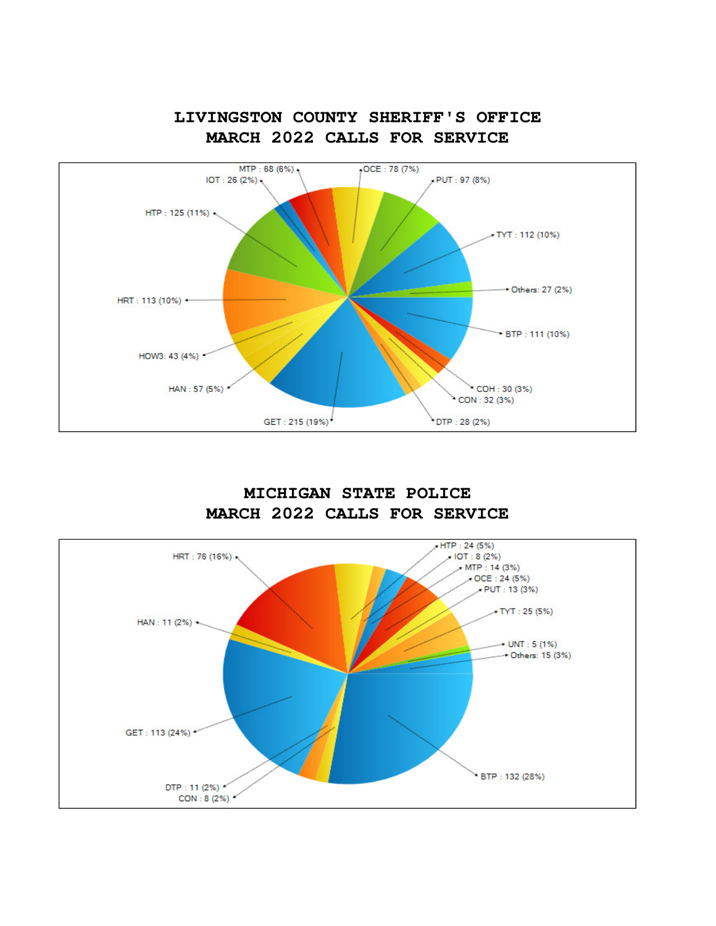

**LIVINGSTON COUNTY SHERIFF'S OFFICE MARCH 2022 CALLS FOR SERVICE**

**MICHIGAN STATE POLICE MARCH 2022 CALLS FOR SERVICE**

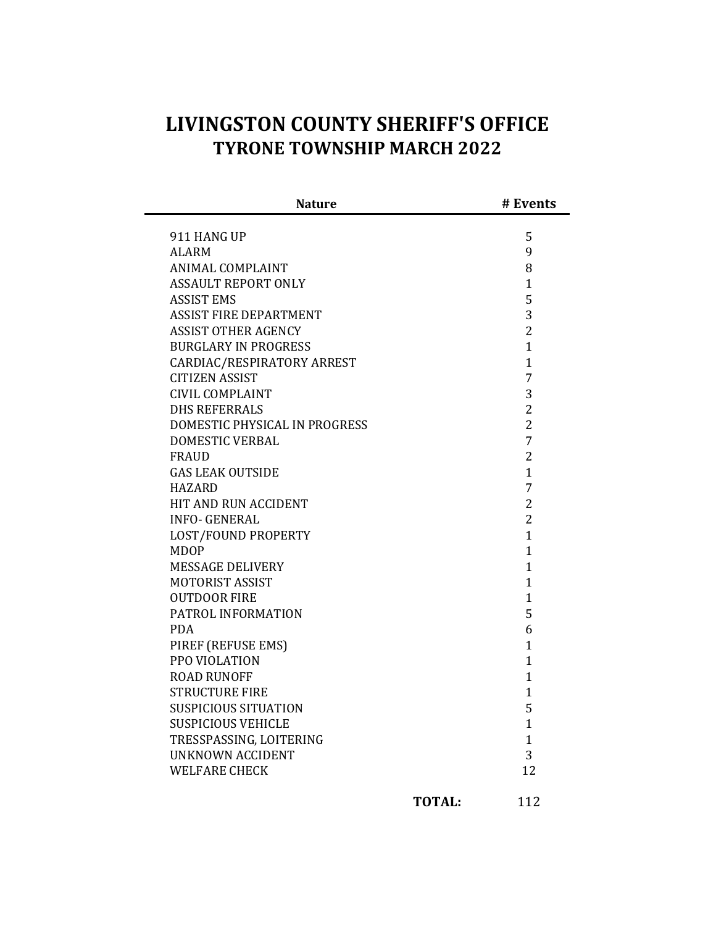## **LIVINGSTON COUNTY SHERIFF'S OFFICE TYRONE TOWNSHIP MARCH 2022**

| <b>Nature</b>                 | # Events       |
|-------------------------------|----------------|
| 911 HANG UP                   | 5              |
| <b>ALARM</b>                  | 9              |
| <b>ANIMAL COMPLAINT</b>       | 8              |
| <b>ASSAULT REPORT ONLY</b>    | $\mathbf{1}$   |
| <b>ASSIST EMS</b>             | 5              |
| <b>ASSIST FIRE DEPARTMENT</b> | 3              |
| <b>ASSIST OTHER AGENCY</b>    | $\overline{2}$ |
| <b>BURGLARY IN PROGRESS</b>   | $\mathbf{1}$   |
| CARDIAC/RESPIRATORY ARREST    | $\mathbf{1}$   |
| <b>CITIZEN ASSIST</b>         | $\overline{7}$ |
| <b>CIVIL COMPLAINT</b>        | 3              |
| <b>DHS REFERRALS</b>          | $\overline{2}$ |
| DOMESTIC PHYSICAL IN PROGRESS | $\overline{2}$ |
| DOMESTIC VERBAL               | $\overline{7}$ |
| <b>FRAUD</b>                  | $\overline{2}$ |
| <b>GAS LEAK OUTSIDE</b>       | $\mathbf{1}$   |
| <b>HAZARD</b>                 | $\overline{7}$ |
| HIT AND RUN ACCIDENT          | $\overline{2}$ |
| <b>INFO- GENERAL</b>          | $\overline{2}$ |
| LOST/FOUND PROPERTY           | $\mathbf{1}$   |
| <b>MDOP</b>                   | $\mathbf{1}$   |
| <b>MESSAGE DELIVERY</b>       | $\mathbf{1}$   |
| <b>MOTORIST ASSIST</b>        | $\mathbf{1}$   |
| <b>OUTDOOR FIRE</b>           | $\mathbf{1}$   |
| PATROL INFORMATION            | 5              |
| <b>PDA</b>                    | 6              |
| PIREF (REFUSE EMS)            | $\mathbf{1}$   |
| PPO VIOLATION                 | $\mathbf{1}$   |
| <b>ROAD RUNOFF</b>            | $\mathbf{1}$   |
| <b>STRUCTURE FIRE</b>         | $\mathbf{1}$   |
| <b>SUSPICIOUS SITUATION</b>   | 5              |
| <b>SUSPICIOUS VEHICLE</b>     | $\mathbf{1}$   |
| TRESSPASSING, LOITERING       | $\mathbf{1}$   |
| <b>UNKNOWN ACCIDENT</b>       | 3              |
| <b>WELFARE CHECK</b>          | 12             |
|                               |                |

**TOTAL:** 112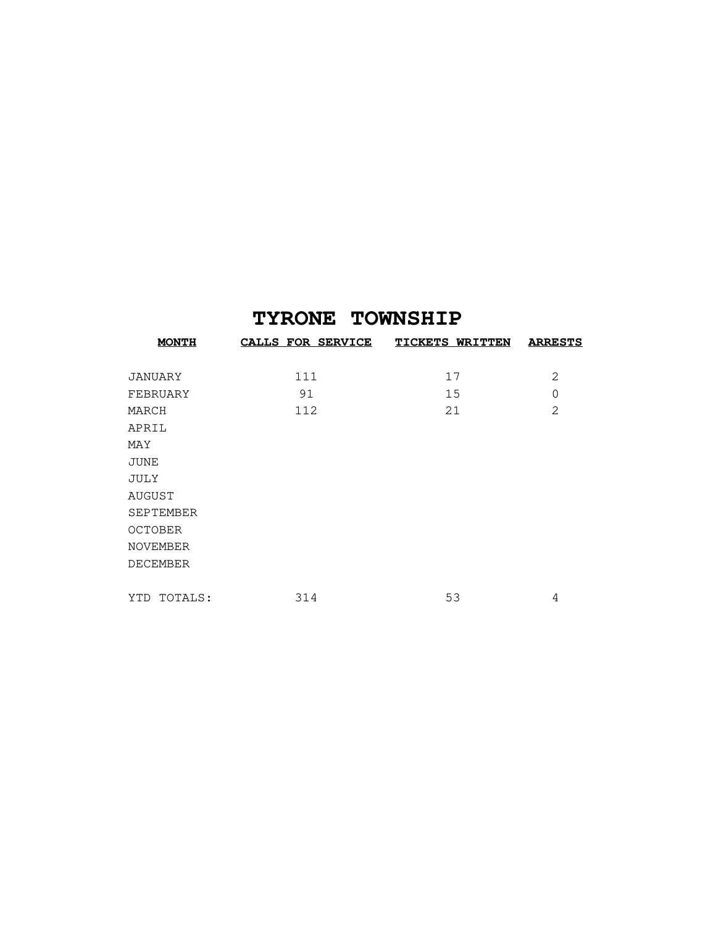## **TYRONE TOWNSHIP**

| <b>MONTH</b>     | <b>CALLS FOR SERVICE</b> | <b>TICKETS WRITTEN</b> | <b>ARRESTS</b> |
|------------------|--------------------------|------------------------|----------------|
| JANUARY          | 111                      | 17                     | 2              |
| FEBRUARY         | 91                       | 15                     | $\Omega$       |
| MARCH            | 112                      | 21                     | $\overline{2}$ |
| APRIL            |                          |                        |                |
| MAY              |                          |                        |                |
| <b>JUNE</b>      |                          |                        |                |
| JULY             |                          |                        |                |
| AUGUST           |                          |                        |                |
| <b>SEPTEMBER</b> |                          |                        |                |
| <b>OCTOBER</b>   |                          |                        |                |
| <b>NOVEMBER</b>  |                          |                        |                |
| <b>DECEMBER</b>  |                          |                        |                |
|                  |                          |                        |                |
| TOTALS:<br>YTD   | 314                      | 53                     | 4              |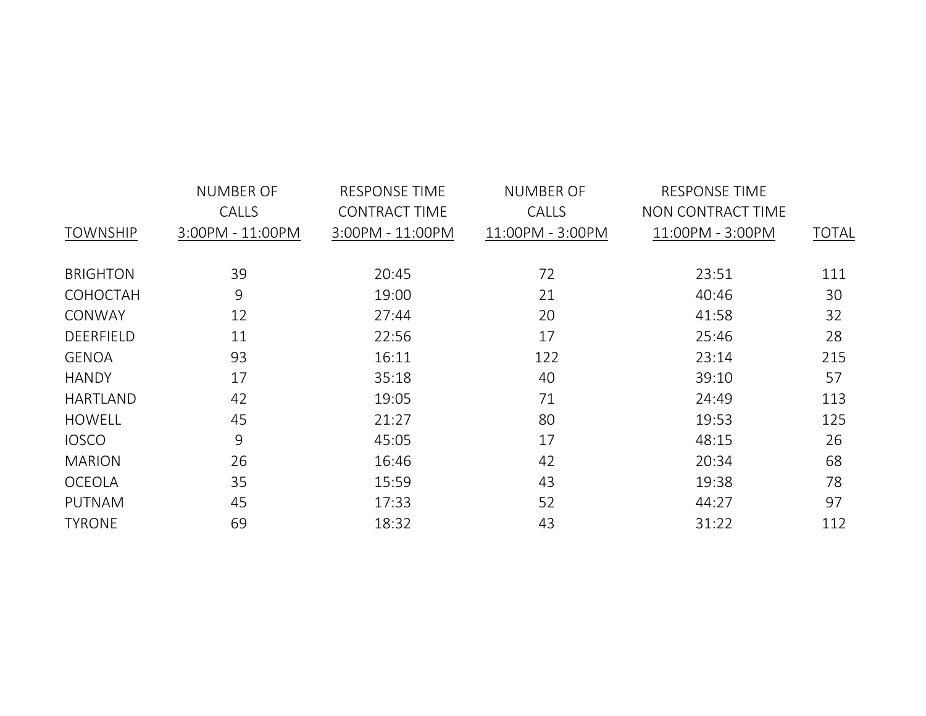|                 | <b>NUMBER OF</b> | <b>RESPONSE TIME</b><br><b>NUMBER OF</b> |                  | <b>RESPONSE TIME</b> |              |  |  |
|-----------------|------------------|------------------------------------------|------------------|----------------------|--------------|--|--|
|                 | CALLS            | <b>CONTRACT TIME</b>                     | <b>CALLS</b>     | NON CONTRACT TIME    |              |  |  |
| <b>TOWNSHIP</b> | 3:00PM - 11:00PM | 3:00PM - 11:00PM                         | 11:00PM - 3:00PM | 11:00PM - 3:00PM     | <b>TOTAL</b> |  |  |
|                 |                  |                                          |                  |                      |              |  |  |
| <b>BRIGHTON</b> | 39               | 20:45                                    | 72               | 23:51                | 111          |  |  |
| COHOCTAH        | 9                | 19:00                                    | 21               | 40:46                | 30           |  |  |
| CONWAY          | 12               | 27:44                                    | 20               | 41:58                | 32           |  |  |
| DEERFIELD       | 11               | 22:56                                    | 17               | 25:46                | 28           |  |  |
| <b>GENOA</b>    | 93               | 16:11                                    | 122              | 23:14                | 215          |  |  |
| <b>HANDY</b>    | 17               | 35:18                                    | 40               | 39:10                | 57           |  |  |
| <b>HARTLAND</b> | 42               | 19:05                                    | 71               | 24:49                | 113          |  |  |
| <b>HOWELL</b>   | 45               | 21:27                                    | 80               | 19:53                | 125          |  |  |
| <b>IOSCO</b>    | 9                | 45:05                                    | 17               | 48:15                | 26           |  |  |
| <b>MARION</b>   | 26               | 16:46                                    | 42               | 20:34                | 68           |  |  |
| <b>OCEOLA</b>   | 35               | 15:59                                    | 43               | 19:38                | 78           |  |  |
| <b>PUTNAM</b>   | 45               | 17:33                                    | 52               | 44:27                | 97           |  |  |
| <b>TYRONE</b>   | 69               | 18:32                                    | 43               | 31:22                | 112          |  |  |
|                 |                  |                                          |                  |                      |              |  |  |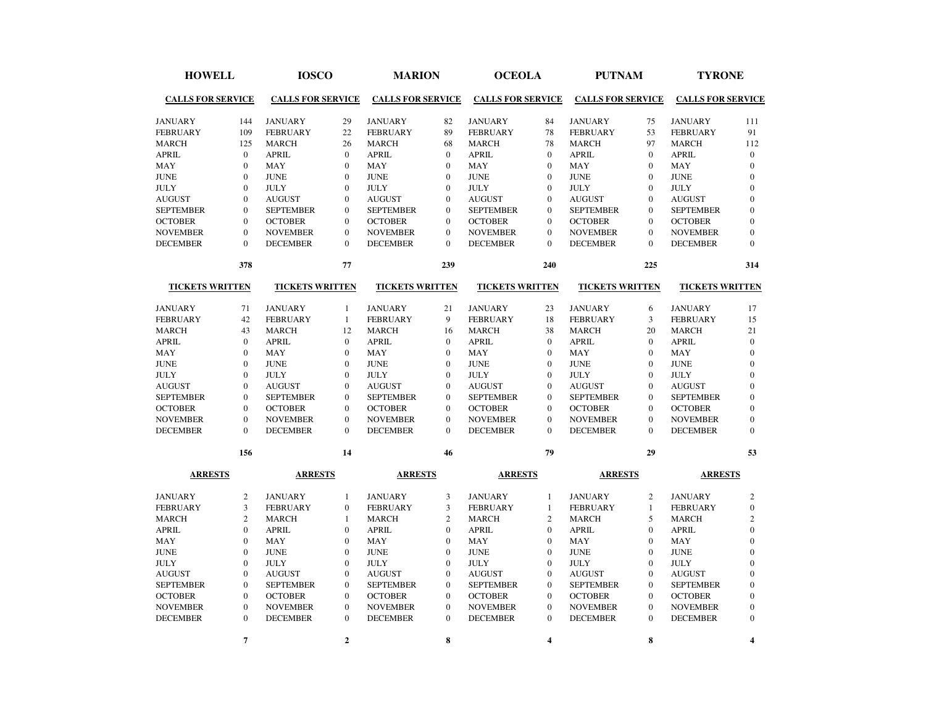| <b>HOWELL</b><br><b>CALLS FOR SERVICE</b> |                  | <b>IOSCO</b><br><b>CALLS FOR SERVICE</b> |                  | <b>MARION</b><br><b>CALLS FOR SERVICE</b> |                  | <b>OCEOLA</b><br><b>CALLS FOR SERVICE</b> |                  | <b>PUTNAM</b><br><b>CALLS FOR SERVICE</b> |                  | <b>TYRONE</b><br><b>CALLS FOR SERVICE</b> |                         |
|-------------------------------------------|------------------|------------------------------------------|------------------|-------------------------------------------|------------------|-------------------------------------------|------------------|-------------------------------------------|------------------|-------------------------------------------|-------------------------|
|                                           |                  |                                          |                  |                                           |                  |                                           |                  |                                           |                  |                                           |                         |
| <b>JANUARY</b>                            | 144              | <b>JANUARY</b>                           | 29               | <b>JANUARY</b>                            | 82               | <b>JANUARY</b>                            | 84               | <b>JANUARY</b>                            | 75               | <b>JANUARY</b>                            | 111                     |
| <b>FEBRUARY</b>                           | 109              | <b>FEBRUARY</b>                          | 22               | <b>FEBRUARY</b>                           | 89               | <b>FEBRUARY</b>                           | 78               | <b>FEBRUARY</b>                           | 53               | <b>FEBRUARY</b>                           | 91                      |
| <b>MARCH</b>                              | 125              | <b>MARCH</b>                             | 26               | <b>MARCH</b>                              | 68               | <b>MARCH</b>                              | 78               | <b>MARCH</b>                              | 97               | <b>MARCH</b>                              | 112                     |
| <b>APRIL</b>                              | $\mathbf{0}$     | <b>APRIL</b>                             | $\mathbf{0}$     | <b>APRIL</b>                              | $\mathbf{0}$     | <b>APRIL</b>                              | $\mathbf{0}$     | <b>APRIL</b>                              | $\overline{0}$   | <b>APRIL</b>                              | $\mathbf{0}$            |
| MAY                                       | $\mathbf{0}$     | <b>MAY</b>                               | $\mathbf{0}$     | <b>MAY</b>                                | $\mathbf{0}$     | <b>MAY</b>                                | $\mathbf{0}$     | <b>MAY</b>                                | $\mathbf{0}$     | <b>MAY</b>                                | $\mathbf{0}$            |
| <b>JUNE</b>                               | $\Omega$         | <b>JUNE</b>                              | $\Omega$         | <b>JUNE</b>                               | $\mathbf{0}$     | <b>JUNE</b>                               | $\theta$         | <b>JUNE</b>                               | $\theta$         | <b>JUNE</b>                               | $\Omega$                |
| <b>JULY</b>                               | $\mathbf{0}$     | <b>JULY</b>                              | $\overline{0}$   | <b>JULY</b>                               | $\mathbf{0}$     | <b>JULY</b>                               | $\mathbf{0}$     | <b>JULY</b>                               | $\mathbf{0}$     | <b>JULY</b>                               | $\mathbf{0}$            |
| <b>AUGUST</b>                             | $\mathbf{0}$     | <b>AUGUST</b>                            | $\overline{0}$   | <b>AUGUST</b>                             | $\mathbf{0}$     | <b>AUGUST</b>                             | $\Omega$         | <b>AUGUST</b>                             | $\mathbf{0}$     | <b>AUGUST</b>                             | $\mathbf{0}$            |
| <b>SEPTEMBER</b>                          | $\mathbf{0}$     | <b>SEPTEMBER</b>                         | $\mathbf{0}$     | <b>SEPTEMBER</b>                          | $\mathbf{0}$     | <b>SEPTEMBER</b>                          | $\Omega$         | <b>SEPTEMBER</b>                          | $\mathbf{0}$     | <b>SEPTEMBER</b>                          | $\Omega$                |
| <b>OCTOBER</b>                            | $\Omega$         | <b>OCTOBER</b>                           | $\Omega$         | <b>OCTOBER</b>                            | $\Omega$         | <b>OCTOBER</b>                            | $\Omega$         | <b>OCTOBER</b>                            | $\mathbf{0}$     | <b>OCTOBER</b>                            | $\Omega$                |
| <b>NOVEMBER</b>                           | $\mathbf{0}$     | <b>NOVEMBER</b>                          | $\mathbf{0}$     | <b>NOVEMBER</b>                           | $\mathbf{0}$     | <b>NOVEMBER</b>                           | $\mathbf{0}$     | <b>NOVEMBER</b>                           | $\overline{0}$   | <b>NOVEMBER</b>                           | $\overline{0}$          |
| <b>DECEMBER</b>                           | $\mathbf{0}$     | <b>DECEMBER</b>                          | $\mathbf{0}$     | <b>DECEMBER</b>                           | $\mathbf{0}$     | <b>DECEMBER</b>                           | $\mathbf{0}$     | <b>DECEMBER</b>                           | $\overline{0}$   | <b>DECEMBER</b>                           | $\mathbf{0}$            |
|                                           | 378              |                                          | 77               |                                           | 239              |                                           | 240              |                                           | 225              |                                           | 314                     |
| <b>TICKETS WRITTEN</b>                    |                  | <b>TICKETS WRITTEN</b>                   |                  | <b>TICKETS WRITTEN</b>                    |                  | <b>TICKETS WRITTEN</b>                    |                  | <b>TICKETS WRITTEN</b>                    |                  | <b>TICKETS WRITTEN</b>                    |                         |
| <b>JANUARY</b>                            | 71               | <b>JANUARY</b>                           | $\mathbf{1}$     | <b>JANUARY</b>                            | 21               | <b>JANUARY</b>                            | 23               | <b>JANUARY</b>                            | 6                | <b>JANUARY</b>                            | 17                      |
| <b>FEBRUARY</b>                           | 42               | <b>FEBRUARY</b>                          | $\mathbf{1}$     | <b>FEBRUARY</b>                           | 9                | <b>FEBRUARY</b>                           | 18               | <b>FEBRUARY</b>                           | 3                | <b>FEBRUARY</b>                           | 15                      |
| <b>MARCH</b>                              | 43               | <b>MARCH</b>                             | 12               | <b>MARCH</b>                              | 16               | <b>MARCH</b>                              | 38               | <b>MARCH</b>                              | 20               | <b>MARCH</b>                              | 21                      |
| <b>APRIL</b>                              | $\mathbf{0}$     | <b>APRIL</b>                             | $\mathbf{0}$     | <b>APRIL</b>                              | $\mathbf{0}$     | <b>APRIL</b>                              | $\mathbf{0}$     | <b>APRIL</b>                              | $\mathbf{0}$     | <b>APRIL</b>                              | $\mathbf{0}$            |
| MAY                                       | $\mathbf{0}$     | MAY                                      | $\mathbf{0}$     | MAY                                       | $\mathbf{0}$     | MAY                                       | $\mathbf{0}$     | MAY                                       | $\overline{0}$   | MAY                                       | $\mathbf{0}$            |
| <b>JUNE</b>                               | $\mathbf{0}$     | <b>JUNE</b>                              | $\mathbf{0}$     | <b>JUNE</b>                               | $\mathbf{0}$     | <b>JUNE</b>                               | $\Omega$         | <b>JUNE</b>                               | $\mathbf{0}$     | <b>JUNE</b>                               | $\mathbf{0}$            |
| <b>JULY</b>                               | $\Omega$         | <b>JULY</b>                              | $\theta$         | <b>JULY</b>                               | $\Omega$         | <b>JULY</b>                               | $\Omega$         | <b>JULY</b>                               | $\theta$         | <b>JULY</b>                               | $\Omega$                |
| <b>AUGUST</b>                             | $\Omega$         | <b>AUGUST</b>                            | $\theta$         | <b>AUGUST</b>                             | $\Omega$         | <b>AUGUST</b>                             | $\Omega$         | <b>AUGUST</b>                             | $\Omega$         | <b>AUGUST</b>                             | $\Omega$                |
| <b>SEPTEMBER</b>                          | $\mathbf{0}$     | <b>SEPTEMBER</b>                         | $\overline{0}$   | <b>SEPTEMBER</b>                          | $\mathbf{0}$     | <b>SEPTEMBER</b>                          | $\mathbf{0}$     | <b>SEPTEMBER</b>                          | $\overline{0}$   | <b>SEPTEMBER</b>                          | $\mathbf{0}$            |
| <b>OCTOBER</b>                            | $\mathbf{0}$     | <b>OCTOBER</b>                           | $\mathbf{0}$     | <b>OCTOBER</b>                            | $\mathbf{0}$     | <b>OCTOBER</b>                            | $\mathbf{0}$     | <b>OCTOBER</b>                            | $\mathbf{0}$     | <b>OCTOBER</b>                            | $\mathbf{0}$            |
| <b>NOVEMBER</b>                           | $\mathbf{0}$     | <b>NOVEMBER</b>                          | $\mathbf{0}$     | <b>NOVEMBER</b>                           | $\mathbf{0}$     | <b>NOVEMBER</b>                           | $\mathbf{0}$     | <b>NOVEMBER</b>                           | $\mathbf{0}$     | <b>NOVEMBER</b>                           | $\mathbf{0}$            |
| <b>DECEMBER</b>                           | $\Omega$         | <b>DECEMBER</b>                          | $\Omega$         | <b>DECEMBER</b>                           | $\Omega$         | <b>DECEMBER</b>                           | $\Omega$         | <b>DECEMBER</b>                           | $\Omega$         | <b>DECEMBER</b>                           | $\Omega$                |
|                                           | 156              |                                          | 14               |                                           | 46               |                                           | 79               |                                           | 29               |                                           | 53                      |
| <b>ARRESTS</b>                            |                  | <b>ARRESTS</b>                           |                  | <b>ARRESTS</b>                            |                  | <b>ARRESTS</b>                            |                  | <b>ARRESTS</b>                            |                  | <b>ARRESTS</b>                            |                         |
| <b>JANUARY</b>                            | $\sqrt{2}$       | <b>JANUARY</b>                           | $\mathbf{1}$     | <b>JANUARY</b>                            | 3                | <b>JANUARY</b>                            | $\mathbf{1}$     | <b>JANUARY</b>                            | $\overline{c}$   | <b>JANUARY</b>                            | $\overline{c}$          |
| <b>FEBRUARY</b>                           | 3                | <b>FEBRUARY</b>                          | $\boldsymbol{0}$ | <b>FEBRUARY</b>                           | 3                | <b>FEBRUARY</b>                           | $\mathbf{1}$     | <b>FEBRUARY</b>                           | $\mathbf{1}$     | <b>FEBRUARY</b>                           | $\mathbf{0}$            |
| <b>MARCH</b>                              | $\overline{2}$   | <b>MARCH</b>                             | 1                | <b>MARCH</b>                              | $\overline{2}$   | <b>MARCH</b>                              | $\overline{2}$   | <b>MARCH</b>                              | 5                | <b>MARCH</b>                              | $\overline{c}$          |
| <b>APRIL</b>                              | $\Omega$         | <b>APRIL</b>                             | $\mathbf{0}$     | <b>APRIL</b>                              | $\mathbf{0}$     | <b>APRIL</b>                              | $\Omega$         | <b>APRIL</b>                              | $\mathbf{0}$     | <b>APRIL</b>                              | $\mathbf{0}$            |
| MAY                                       | $\mathbf{0}$     | <b>MAY</b>                               | $\boldsymbol{0}$ | <b>MAY</b>                                | $\boldsymbol{0}$ | MAY                                       | $\mathbf{0}$     | MAY                                       | $\boldsymbol{0}$ | MAY                                       | $\boldsymbol{0}$        |
| <b>JUNE</b>                               | $\mathbf{0}$     | <b>JUNE</b>                              | $\overline{0}$   | <b>JUNE</b>                               | $\mathbf{0}$     | <b>JUNE</b>                               | $\theta$         | <b>JUNE</b>                               | $\overline{0}$   | <b>JUNE</b>                               | $\Omega$                |
| JULY                                      | $\Omega$         | <b>JULY</b>                              | $\overline{0}$   | <b>JULY</b>                               | $\mathbf{0}$     | <b>JULY</b>                               | $\Omega$         | <b>JULY</b>                               | $\mathbf{0}$     | <b>JULY</b>                               | $\mathbf{0}$            |
| <b>AUGUST</b>                             | $\mathbf{0}$     | <b>AUGUST</b>                            | $\mathbf{0}$     | <b>AUGUST</b>                             | $\mathbf{0}$     | <b>AUGUST</b>                             | $\mathbf{0}$     | <b>AUGUST</b>                             | $\mathbf{0}$     | <b>AUGUST</b>                             | $\mathbf{0}$            |
| <b>SEPTEMBER</b>                          | $\boldsymbol{0}$ | <b>SEPTEMBER</b>                         | $\boldsymbol{0}$ | <b>SEPTEMBER</b>                          | $\boldsymbol{0}$ | <b>SEPTEMBER</b>                          | $\boldsymbol{0}$ | <b>SEPTEMBER</b>                          | $\boldsymbol{0}$ | <b>SEPTEMBER</b>                          | $\mathbf{0}$            |
| <b>OCTOBER</b>                            | $\mathbf{0}$     | <b>OCTOBER</b>                           | $\boldsymbol{0}$ | <b>OCTOBER</b>                            | $\mathbf{0}$     | <b>OCTOBER</b>                            | $\mathbf{0}$     | <b>OCTOBER</b>                            | $\boldsymbol{0}$ | <b>OCTOBER</b>                            | $\mathbf{0}$            |
| <b>NOVEMBER</b>                           | $\mathbf{0}$     | <b>NOVEMBER</b>                          | $\mathbf{0}$     | <b>NOVEMBER</b>                           | $\mathbf{0}$     | <b>NOVEMBER</b>                           | $\mathbf{0}$     | <b>NOVEMBER</b>                           | $\overline{0}$   | <b>NOVEMBER</b>                           | $\mathbf{0}$            |
| <b>DECEMBER</b>                           | $\Omega$         | <b>DECEMBER</b>                          | $\mathbf{0}$     | <b>DECEMBER</b>                           | $\mathbf{0}$     | <b>DECEMBER</b>                           | $\mathbf{0}$     | <b>DECEMBER</b>                           | $\overline{0}$   | <b>DECEMBER</b>                           | $\Omega$                |
|                                           | $\overline{7}$   |                                          | $\overline{2}$   |                                           | 8                |                                           | 4                |                                           | 8                |                                           | $\overline{\mathbf{4}}$ |